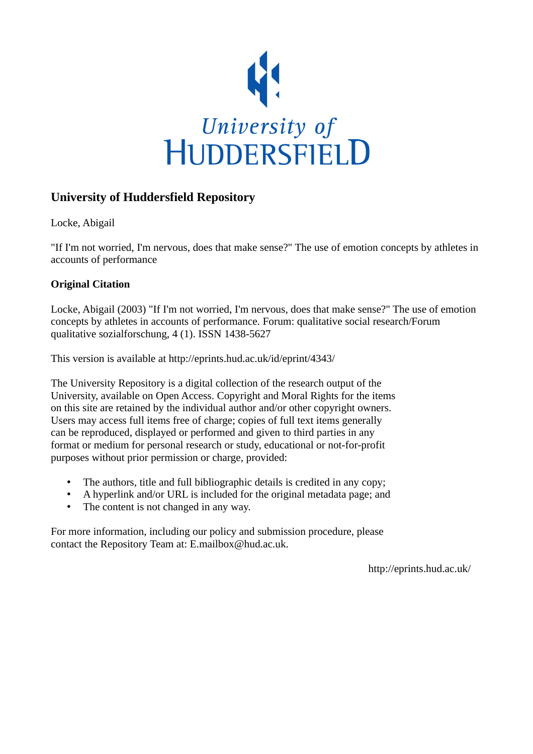

# **University of Huddersfield Repository**

Locke, Abigail

"If I'm not worried, I'm nervous, does that make sense?" The use of emotion concepts by athletes in accounts of performance

## **Original Citation**

Locke, Abigail (2003) "If I'm not worried, I'm nervous, does that make sense?" The use of emotion concepts by athletes in accounts of performance. Forum: qualitative social research/Forum qualitative sozialforschung, 4 (1). ISSN 1438-5627

This version is available at http://eprints.hud.ac.uk/id/eprint/4343/

The University Repository is a digital collection of the research output of the University, available on Open Access. Copyright and Moral Rights for the items on this site are retained by the individual author and/or other copyright owners. Users may access full items free of charge; copies of full text items generally can be reproduced, displayed or performed and given to third parties in any format or medium for personal research or study, educational or not-for-profit purposes without prior permission or charge, provided:

- The authors, title and full bibliographic details is credited in any copy;
- A hyperlink and/or URL is included for the original metadata page; and
- The content is not changed in any way.

For more information, including our policy and submission procedure, please contact the Repository Team at: E.mailbox@hud.ac.uk.

http://eprints.hud.ac.uk/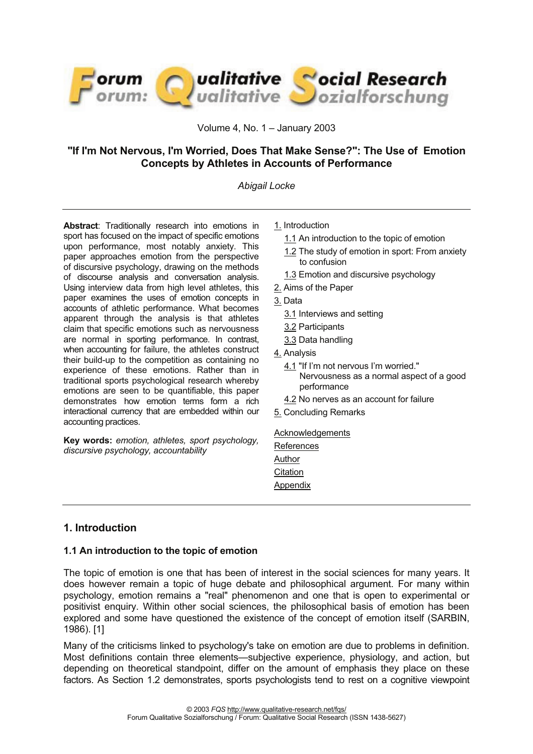

Volume 4, No. 1 – January 2003

## **"If I'm Not Nervous, I'm Worried, Does That Make Sense?": The Use of Emotion Concepts by Athletes in Accounts of Performance**

#### *Abigail Locke*

**Abstract**: Traditionally research into emotions in sport has focused on the impact of specific emotions upon performance, most notably anxiety. This paper approaches emotion from the perspective of discursive psychology, drawing on the methods of discourse analysis and conversation analysis. Using interview data from high level athletes, this paper examines the uses of emotion concepts in accounts of athletic performance. What becomes apparent through the analysis is that athletes claim that specific emotions such as nervousness are normal in sporting performance. In contrast, when accounting for failure, the athletes construct their build-up to the competition as containing no experience of these emotions. Rather than in traditional sports psychological research whereby emotions are seen to be quantifiable, this paper demonstrates how emotion terms form a rich interactional currency that are embedded within our accounting practices.

**Key words:** *emotion, athletes, sport psychology, discursive psychology, accountability* 

- 1. Introduction
	- 1.1 An introduction to the topic of emotion
	- 1.2 The study of emotion in sport: From anxiety to confusion
	- 1.3 Emotion and discursive psychology
- 2. Aims of the Paper
- 3. Data
	- 3.1 Interviews and setting
	- 3.2 Participants
	- 3.3 Data handling
- 4. Analysis
	- 4.1 "If I'm not nervous I'm worried."
		- Nervousness as a normal aspect of a good performance
	- 4.2 No nerves as an account for failure
- 5. Concluding Remarks

#### **Acknowledgements**

| References      |
|-----------------|
| Author          |
| Citation        |
| <u>Appendix</u> |

#### **1. Introduction**

#### **1.1 An introduction to the topic of emotion**

The topic of emotion is one that has been of interest in the social sciences for many years. It does however remain a topic of huge debate and philosophical argument. For many within psychology, emotion remains a "real" phenomenon and one that is open to experimental or positivist enquiry. Within other social sciences, the philosophical basis of emotion has been explored and some have questioned the existence of the concept of emotion itself (SARBIN, 1986). [1]

Many of the criticisms linked to psychology's take on emotion are due to problems in definition. Most definitions contain three elements—subjective experience, physiology, and action, but depending on theoretical standpoint, differ on the amount of emphasis they place on these factors. As Section 1.2 demonstrates, sports psychologists tend to rest on a cognitive viewpoint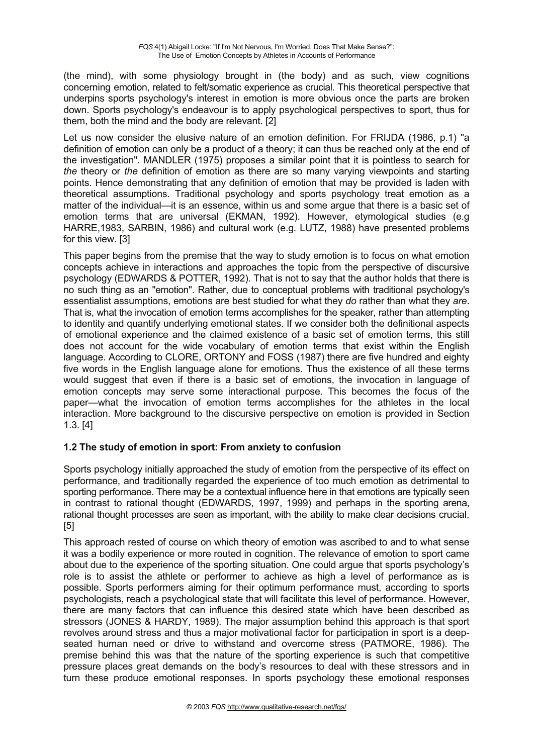(the mind), with some physiology brought in (the body) and as such, view cognitions concerning emotion, related to felt/somatic experience as crucial. This theoretical perspective that underpins sports psychology's interest in emotion is more obvious once the parts are broken down. Sports psychology's endeavour is to apply psychological perspectives to sport, thus for them, both the mind and the body are relevant. [2]

Let us now consider the elusive nature of an emotion definition. For FRIJDA (1986, p.1) "a definition of emotion can only be a product of a theory; it can thus be reached only at the end of the investigation". MANDLER (1975) proposes a similar point that it is pointless to search for *the* theory or *the* definition of emotion as there are so many varying viewpoints and starting points. Hence demonstrating that any definition of emotion that may be provided is laden with theoretical assumptions. Traditional psychology and sports psychology treat emotion as a matter of the individual—it is an essence, within us and some argue that there is a basic set of emotion terms that are universal (EKMAN, 1992). However, etymological studies (e.g HARRE,1983, SARBIN, 1986) and cultural work (e.g. LUTZ, 1988) have presented problems for this view. [3]

This paper begins from the premise that the way to study emotion is to focus on what emotion concepts achieve in interactions and approaches the topic from the perspective of discursive psychology (EDWARDS & POTTER, 1992). That is not to say that the author holds that there is no such thing as an "emotion". Rather, due to conceptual problems with traditional psychology's essentialist assumptions, emotions are best studied for what they *do* rather than what they *are*. That is, what the invocation of emotion terms accomplishes for the speaker, rather than attempting to identity and quantify underlying emotional states. If we consider both the definitional aspects of emotional experience and the claimed existence of a basic set of emotion terms, this still does not account for the wide vocabulary of emotion terms that exist within the English language. According to CLORE, ORTONY and FOSS (1987) there are five hundred and eighty five words in the English language alone for emotions. Thus the existence of all these terms would suggest that even if there is a basic set of emotions, the invocation in language of emotion concepts may serve some interactional purpose. This becomes the focus of the paper—what the invocation of emotion terms accomplishes for the athletes in the local interaction. More background to the discursive perspective on emotion is provided in Section 1.3. [4]

## **1.2 The study of emotion in sport: From anxiety to confusion**

Sports psychology initially approached the study of emotion from the perspective of its effect on performance, and traditionally regarded the experience of too much emotion as detrimental to sporting performance. There may be a contextual influence here in that emotions are typically seen in contrast to rational thought (EDWARDS, 1997, 1999) and perhaps in the sporting arena, rational thought processes are seen as important, with the ability to make clear decisions crucial. [5]

This approach rested of course on which theory of emotion was ascribed to and to what sense it was a bodily experience or more routed in cognition. The relevance of emotion to sport came about due to the experience of the sporting situation. One could argue that sports psychology's role is to assist the athlete or performer to achieve as high a level of performance as is possible. Sports performers aiming for their optimum performance must, according to sports psychologists, reach a psychological state that will facilitate this level of performance. However, there are many factors that can influence this desired state which have been described as stressors (JONES & HARDY, 1989). The major assumption behind this approach is that sport revolves around stress and thus a major motivational factor for participation in sport is a deepseated human need or drive to withstand and overcome stress (PATMORE, 1986). The premise behind this was that the nature of the sporting experience is such that competitive pressure places great demands on the body's resources to deal with these stressors and in turn these produce emotional responses. In sports psychology these emotional responses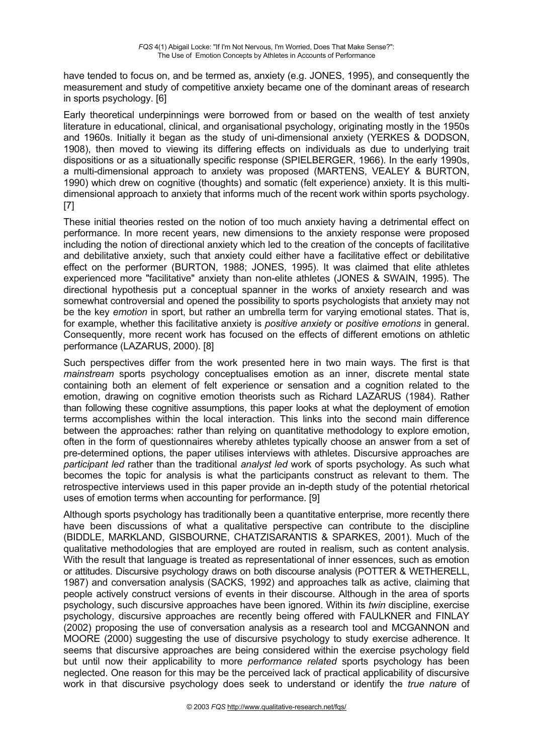have tended to focus on, and be termed as, anxiety (e.g. JONES, 1995), and consequently the measurement and study of competitive anxiety became one of the dominant areas of research in sports psychology. [6]

Early theoretical underpinnings were borrowed from or based on the wealth of test anxiety literature in educational, clinical, and organisational psychology, originating mostly in the 1950s and 1960s. Initially it began as the study of uni-dimensional anxiety (YERKES & DODSON, 1908), then moved to viewing its differing effects on individuals as due to underlying trait dispositions or as a situationally specific response (SPIELBERGER, 1966). In the early 1990s, a multi-dimensional approach to anxiety was proposed (MARTENS, VEALEY & BURTON, 1990) which drew on cognitive (thoughts) and somatic (felt experience) anxiety. It is this multidimensional approach to anxiety that informs much of the recent work within sports psychology. [7]

These initial theories rested on the notion of too much anxiety having a detrimental effect on performance. In more recent years, new dimensions to the anxiety response were proposed including the notion of directional anxiety which led to the creation of the concepts of facilitative and debilitative anxiety, such that anxiety could either have a facilitative effect or debilitative effect on the performer (BURTON, 1988; JONES, 1995). It was claimed that elite athletes experienced more "facilitative" anxiety than non-elite athletes (JONES & SWAIN, 1995). The directional hypothesis put a conceptual spanner in the works of anxiety research and was somewhat controversial and opened the possibility to sports psychologists that anxiety may not be the key *emotion* in sport, but rather an umbrella term for varying emotional states. That is, for example, whether this facilitative anxiety is *positive anxiety* or *positive emotions* in general. Consequently, more recent work has focused on the effects of different emotions on athletic performance (LAZARUS, 2000). [8]

Such perspectives differ from the work presented here in two main ways. The first is that *mainstream* sports psychology conceptualises emotion as an inner, discrete mental state containing both an element of felt experience or sensation and a cognition related to the emotion, drawing on cognitive emotion theorists such as Richard LAZARUS (1984). Rather than following these cognitive assumptions, this paper looks at what the deployment of emotion terms accomplishes within the local interaction. This links into the second main difference between the approaches: rather than relying on quantitative methodology to explore emotion, often in the form of questionnaires whereby athletes typically choose an answer from a set of pre-determined options, the paper utilises interviews with athletes. Discursive approaches are *participant led* rather than the traditional *analyst led* work of sports psychology. As such what becomes the topic for analysis is what the participants construct as relevant to them. The retrospective interviews used in this paper provide an in-depth study of the potential rhetorical uses of emotion terms when accounting for performance. [9]

Although sports psychology has traditionally been a quantitative enterprise, more recently there have been discussions of what a qualitative perspective can contribute to the discipline (BIDDLE, MARKLAND, GISBOURNE, CHATZISARANTIS & SPARKES, 2001). Much of the qualitative methodologies that are employed are routed in realism, such as content analysis. With the result that language is treated as representational of inner essences, such as emotion or attitudes. Discursive psychology draws on both discourse analysis (POTTER & WETHERELL, 1987) and conversation analysis (SACKS, 1992) and approaches talk as active, claiming that people actively construct versions of events in their discourse. Although in the area of sports psychology, such discursive approaches have been ignored. Within its *twin* discipline, exercise psychology, discursive approaches are recently being offered with FAULKNER and FINLAY (2002) proposing the use of conversation analysis as a research tool and MCGANNON and MOORE (2000) suggesting the use of discursive psychology to study exercise adherence. It seems that discursive approaches are being considered within the exercise psychology field but until now their applicability to more *performance related* sports psychology has been neglected. One reason for this may be the perceived lack of practical applicability of discursive work in that discursive psychology does seek to understand or identify the *true nature* of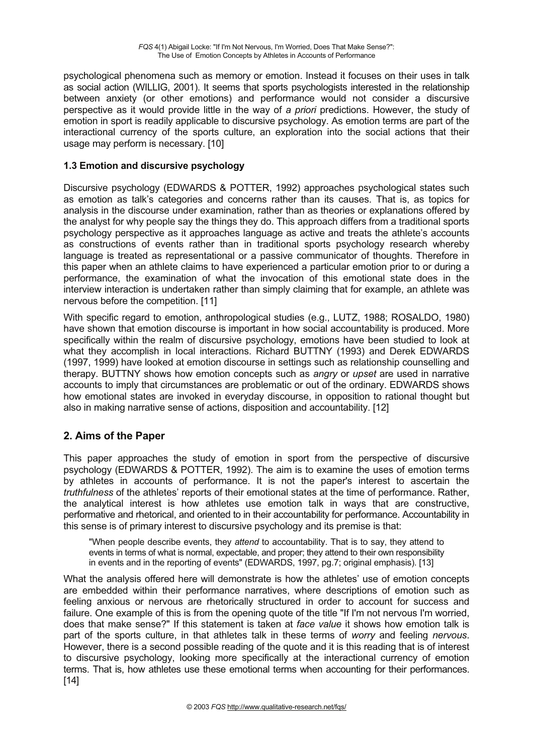psychological phenomena such as memory or emotion. Instead it focuses on their uses in talk as social action (WILLIG, 2001). It seems that sports psychologists interested in the relationship between anxiety (or other emotions) and performance would not consider a discursive perspective as it would provide little in the way of *a priori* predictions. However, the study of emotion in sport is readily applicable to discursive psychology. As emotion terms are part of the interactional currency of the sports culture, an exploration into the social actions that their usage may perform is necessary. [10]

## **1.3 Emotion and discursive psychology**

Discursive psychology (EDWARDS & POTTER, 1992) approaches psychological states such as emotion as talk's categories and concerns rather than its causes. That is, as topics for analysis in the discourse under examination, rather than as theories or explanations offered by the analyst for why people say the things they do. This approach differs from a traditional sports psychology perspective as it approaches language as active and treats the athlete's accounts as constructions of events rather than in traditional sports psychology research whereby language is treated as representational or a passive communicator of thoughts. Therefore in this paper when an athlete claims to have experienced a particular emotion prior to or during a performance, the examination of what the invocation of this emotional state does in the interview interaction is undertaken rather than simply claiming that for example, an athlete was nervous before the competition. [11]

With specific regard to emotion, anthropological studies (e.g., LUTZ, 1988; ROSALDO, 1980) have shown that emotion discourse is important in how social accountability is produced. More specifically within the realm of discursive psychology, emotions have been studied to look at what they accomplish in local interactions. Richard BUTTNY (1993) and Derek EDWARDS (1997, 1999) have looked at emotion discourse in settings such as relationship counselling and therapy. BUTTNY shows how emotion concepts such as *angry* or *upset* are used in narrative accounts to imply that circumstances are problematic or out of the ordinary. EDWARDS shows how emotional states are invoked in everyday discourse, in opposition to rational thought but also in making narrative sense of actions, disposition and accountability. [12]

## **2. Aims of the Paper**

This paper approaches the study of emotion in sport from the perspective of discursive psychology (EDWARDS & POTTER, 1992). The aim is to examine the uses of emotion terms by athletes in accounts of performance. It is not the paper's interest to ascertain the *truthfulness* of the athletes' reports of their emotional states at the time of performance. Rather, the analytical interest is how athletes use emotion talk in ways that are constructive, performative and rhetorical, and oriented to in their accountability for performance. Accountability in this sense is of primary interest to discursive psychology and its premise is that:

"When people describe events, they *attend* to accountability. That is to say, they attend to events in terms of what is normal, expectable, and proper; they attend to their own responsibility in events and in the reporting of events" (EDWARDS, 1997, pg.7; original emphasis). [13]

What the analysis offered here will demonstrate is how the athletes' use of emotion concepts are embedded within their performance narratives, where descriptions of emotion such as feeling anxious or nervous are rhetorically structured in order to account for success and failure. One example of this is from the opening quote of the title "If I'm not nervous I'm worried, does that make sense?" If this statement is taken at *face value* it shows how emotion talk is part of the sports culture, in that athletes talk in these terms of *worry* and feeling *nervous*. However, there is a second possible reading of the quote and it is this reading that is of interest to discursive psychology, looking more specifically at the interactional currency of emotion terms. That is, how athletes use these emotional terms when accounting for their performances. [14]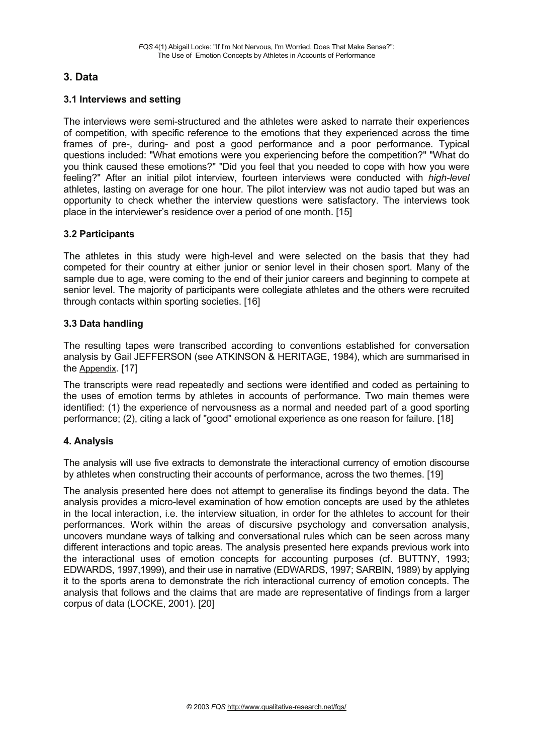## **3. Data**

#### **3.1 Interviews and setting**

The interviews were semi-structured and the athletes were asked to narrate their experiences of competition, with specific reference to the emotions that they experienced across the time frames of pre-, during- and post a good performance and a poor performance. Typical questions included: "What emotions were you experiencing before the competition?" "What do you think caused these emotions?" "Did you feel that you needed to cope with how you were feeling?" After an initial pilot interview, fourteen interviews were conducted with *high-level* athletes, lasting on average for one hour. The pilot interview was not audio taped but was an opportunity to check whether the interview questions were satisfactory. The interviews took place in the interviewer's residence over a period of one month. [15]

#### **3.2 Participants**

The athletes in this study were high-level and were selected on the basis that they had competed for their country at either junior or senior level in their chosen sport. Many of the sample due to age, were coming to the end of their junior careers and beginning to compete at senior level. The majority of participants were collegiate athletes and the others were recruited through contacts within sporting societies. [16]

#### **3.3 Data handling**

The resulting tapes were transcribed according to conventions established for conversation analysis by Gail JEFFERSON (see ATKINSON & HERITAGE, 1984), which are summarised in the Appendix. [17]

The transcripts were read repeatedly and sections were identified and coded as pertaining to the uses of emotion terms by athletes in accounts of performance. Two main themes were identified: (1) the experience of nervousness as a normal and needed part of a good sporting performance; (2), citing a lack of "good" emotional experience as one reason for failure. [18]

## **4. Analysis**

The analysis will use five extracts to demonstrate the interactional currency of emotion discourse by athletes when constructing their accounts of performance, across the two themes. [19]

The analysis presented here does not attempt to generalise its findings beyond the data. The analysis provides a micro-level examination of how emotion concepts are used by the athletes in the local interaction, i.e. the interview situation, in order for the athletes to account for their performances. Work within the areas of discursive psychology and conversation analysis, uncovers mundane ways of talking and conversational rules which can be seen across many different interactions and topic areas. The analysis presented here expands previous work into the interactional uses of emotion concepts for accounting purposes (cf. BUTTNY, 1993; EDWARDS, 1997,1999), and their use in narrative (EDWARDS, 1997; SARBIN, 1989) by applying it to the sports arena to demonstrate the rich interactional currency of emotion concepts. The analysis that follows and the claims that are made are representative of findings from a larger corpus of data (LOCKE, 2001). [20]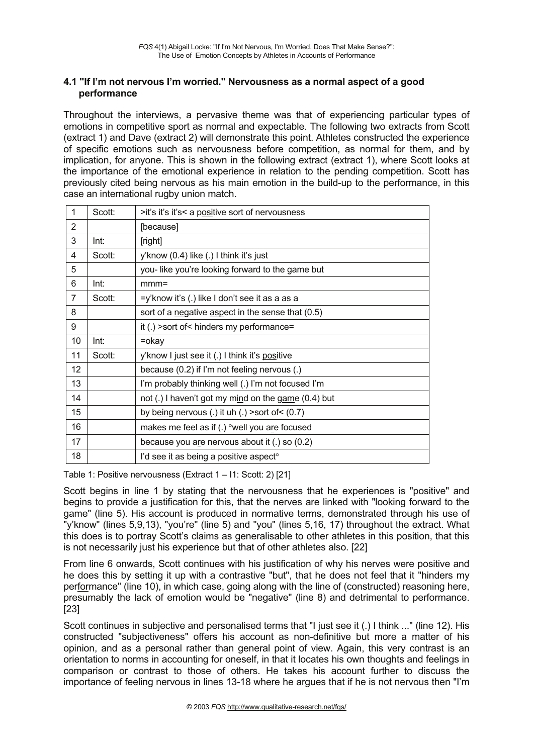#### **4.1 "If I'm not nervous I'm worried." Nervousness as a normal aspect of a good performance**

Throughout the interviews, a pervasive theme was that of experiencing particular types of emotions in competitive sport as normal and expectable. The following two extracts from Scott (extract 1) and Dave (extract 2) will demonstrate this point. Athletes constructed the experience of specific emotions such as nervousness before competition, as normal for them, and by implication, for anyone. This is shown in the following extract (extract 1), where Scott looks at the importance of the emotional experience in relation to the pending competition. Scott has previously cited being nervous as his main emotion in the build-up to the performance, in this case an international rugby union match.

| $\mathbf{1}$   | Scott: | >it's it's it's< a positive sort of nervousness     |
|----------------|--------|-----------------------------------------------------|
| $\overline{2}$ |        | [because]                                           |
| 3              | Int:   | [right]                                             |
| 4              | Scott: | y'know (0.4) like (.) I think it's just             |
| 5              |        | you-like you're looking forward to the game but     |
| 6              | Int:   | $mmm =$                                             |
| $\overline{7}$ | Scott: | =y'know it's (.) like I don't see it as a as a      |
| 8              |        | sort of a negative aspect in the sense that (0.5)   |
| 9              |        | it (.) > sort of < hinders my performance=          |
| 10             | Int:   | $=$ okay                                            |
| 11             | Scott: | y'know I just see it (.) I think it's positive      |
| 12             |        | because (0.2) if I'm not feeling nervous (.)        |
| 13             |        | I'm probably thinking well (.) I'm not focused I'm  |
| 14             |        | not (.) I haven't got my mind on the game (0.4) but |
| 15             |        | by being nervous (.) it uh (.) > sort of $<$ (0.7)  |
| 16             |        | makes me feel as if (.) °well you are focused       |
| 17             |        | because you are nervous about it (.) so (0.2)       |
| 18             |        | l'd see it as being a positive aspect <sup>o</sup>  |
|                |        |                                                     |

Table 1: Positive nervousness (Extract 1 *–* I1: Scott: 2) [21]

Scott begins in line 1 by stating that the nervousness that he experiences is "positive" and begins to provide a justification for this, that the nerves are linked with "looking forward to the game" (line 5). His account is produced in normative terms, demonstrated through his use of "y'know" (lines 5,9,13), "you're" (line 5) and "you" (lines 5,16, 17) throughout the extract. What this does is to portray Scott's claims as generalisable to other athletes in this position, that this is not necessarily just his experience but that of other athletes also. [22]

From line 6 onwards, Scott continues with his justification of why his nerves were positive and he does this by setting it up with a contrastive "but", that he does not feel that it "hinders my performance" (line 10), in which case, going along with the line of (constructed) reasoning here, presumably the lack of emotion would be "negative" (line 8) and detrimental to performance. [23]

Scott continues in subjective and personalised terms that "I just see it (.) I think ..." (line 12). His constructed "subjectiveness" offers his account as non-definitive but more a matter of his opinion, and as a personal rather than general point of view. Again, this very contrast is an orientation to norms in accounting for oneself, in that it locates his own thoughts and feelings in comparison or contrast to those of others. He takes his account further to discuss the importance of feeling nervous in lines 13-18 where he argues that if he is not nervous then "I'm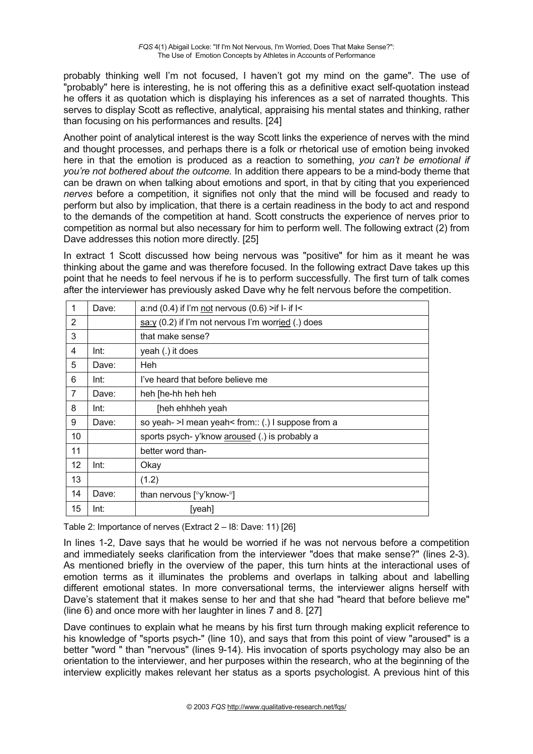probably thinking well I'm not focused, I haven't got my mind on the game". The use of "probably" here is interesting, he is not offering this as a definitive exact self-quotation instead he offers it as quotation which is displaying his inferences as a set of narrated thoughts. This serves to display Scott as reflective, analytical, appraising his mental states and thinking, rather than focusing on his performances and results. [24]

Another point of analytical interest is the way Scott links the experience of nerves with the mind and thought processes, and perhaps there is a folk or rhetorical use of emotion being invoked here in that the emotion is produced as a reaction to something, *you can't be emotional if you're not bothered about the outcome.* In addition there appears to be a mind-body theme that can be drawn on when talking about emotions and sport, in that by citing that you experienced *nerves* before a competition, it signifies not only that the mind will be focused and ready to perform but also by implication, that there is a certain readiness in the body to act and respond to the demands of the competition at hand. Scott constructs the experience of nerves prior to competition as normal but also necessary for him to perform well. The following extract (2) from Dave addresses this notion more directly. [25]

In extract 1 Scott discussed how being nervous was "positive" for him as it meant he was thinking about the game and was therefore focused. In the following extract Dave takes up this point that he needs to feel nervous if he is to perform successfully. The first turn of talk comes after the interviewer has previously asked Dave why he felt nervous before the competition.

| 1                 | Dave: | a:nd $(0.4)$ if I'm not nervous $(0.6)$ >if I- if I<  |
|-------------------|-------|-------------------------------------------------------|
| 2                 |       | $s$ a:y (0.2) if I'm not nervous I'm worried (.) does |
| 3                 |       | that make sense?                                      |
| 4                 | Int:  | yeah (.) it does                                      |
| 5                 | Dave: | <b>Heh</b>                                            |
| 6                 | Int:  | I've heard that before believe me                     |
| $\overline{7}$    | Dave: | heh [he-hh heh heh                                    |
| 8                 | Int:  | [heh ehhheh yeah                                      |
| 9                 | Dave: | so yeah- >I mean yeah< from:: (.) I suppose from a    |
| 10                |       | sports psych-y'know aroused (.) is probably a         |
| 11                |       | better word than-                                     |
| $12 \overline{ }$ | Int:  | Okay                                                  |
| 13                |       | (1.2)                                                 |
| 14                | Dave: | than nervous [°y'know-°]                              |
| 15                | Int:  | [yeah]                                                |

Table 2: Importance of nerves (Extract 2 – I8: Dave: 11) [26]

In lines 1-2, Dave says that he would be worried if he was not nervous before a competition and immediately seeks clarification from the interviewer "does that make sense?" (lines 2-3). As mentioned briefly in the overview of the paper, this turn hints at the interactional uses of emotion terms as it illuminates the problems and overlaps in talking about and labelling different emotional states. In more conversational terms, the interviewer aligns herself with Dave's statement that it makes sense to her and that she had "heard that before believe me" (line 6) and once more with her laughter in lines 7 and 8. [27]

Dave continues to explain what he means by his first turn through making explicit reference to his knowledge of "sports psych-" (line 10), and says that from this point of view "aroused" is a better "word " than "nervous" (lines 9-14). His invocation of sports psychology may also be an orientation to the interviewer, and her purposes within the research, who at the beginning of the interview explicitly makes relevant her status as a sports psychologist. A previous hint of this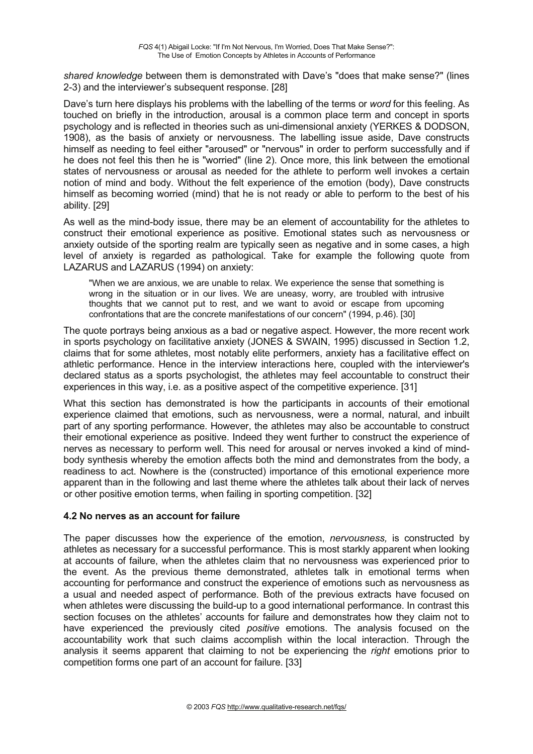*shared knowledge* between them is demonstrated with Dave's "does that make sense?" (lines 2-3) and the interviewer's subsequent response. [28]

Dave's turn here displays his problems with the labelling of the terms or *word* for this feeling. As touched on briefly in the introduction, arousal is a common place term and concept in sports psychology and is reflected in theories such as uni-dimensional anxiety (YERKES & DODSON, 1908), as the basis of anxiety or nervousness. The labelling issue aside, Dave constructs himself as needing to feel either "aroused" or "nervous" in order to perform successfully and if he does not feel this then he is "worried" (line 2). Once more, this link between the emotional states of nervousness or arousal as needed for the athlete to perform well invokes a certain notion of mind and body. Without the felt experience of the emotion (body), Dave constructs himself as becoming worried (mind) that he is not ready or able to perform to the best of his ability. [29]

As well as the mind-body issue, there may be an element of accountability for the athletes to construct their emotional experience as positive. Emotional states such as nervousness or anxiety outside of the sporting realm are typically seen as negative and in some cases, a high level of anxiety is regarded as pathological. Take for example the following quote from LAZARUS and LAZARUS (1994) on anxiety:

"When we are anxious, we are unable to relax. We experience the sense that something is wrong in the situation or in our lives. We are uneasy, worry, are troubled with intrusive thoughts that we cannot put to rest, and we want to avoid or escape from upcoming confrontations that are the concrete manifestations of our concern" (1994, p.46). [30]

The quote portrays being anxious as a bad or negative aspect. However, the more recent work in sports psychology on facilitative anxiety (JONES & SWAIN, 1995) discussed in Section 1.2, claims that for some athletes, most notably elite performers, anxiety has a facilitative effect on athletic performance. Hence in the interview interactions here, coupled with the interviewer's declared status as a sports psychologist, the athletes may feel accountable to construct their experiences in this way, i.e. as a positive aspect of the competitive experience. [31]

What this section has demonstrated is how the participants in accounts of their emotional experience claimed that emotions, such as nervousness, were a normal, natural, and inbuilt part of any sporting performance. However, the athletes may also be accountable to construct their emotional experience as positive. Indeed they went further to construct the experience of nerves as necessary to perform well. This need for arousal or nerves invoked a kind of mindbody synthesis whereby the emotion affects both the mind and demonstrates from the body, a readiness to act. Nowhere is the (constructed) importance of this emotional experience more apparent than in the following and last theme where the athletes talk about their lack of nerves or other positive emotion terms, when failing in sporting competition. [32]

#### **4.2 No nerves as an account for failure**

The paper discusses how the experience of the emotion, *nervousness,* is constructed by athletes as necessary for a successful performance. This is most starkly apparent when looking at accounts of failure, when the athletes claim that no nervousness was experienced prior to the event. As the previous theme demonstrated, athletes talk in emotional terms when accounting for performance and construct the experience of emotions such as nervousness as a usual and needed aspect of performance. Both of the previous extracts have focused on when athletes were discussing the build-up to a good international performance. In contrast this section focuses on the athletes' accounts for failure and demonstrates how they claim not to have experienced the previously cited *positive* emotions. The analysis focused on the accountability work that such claims accomplish within the local interaction. Through the analysis it seems apparent that claiming to not be experiencing the *right* emotions prior to competition forms one part of an account for failure. [33]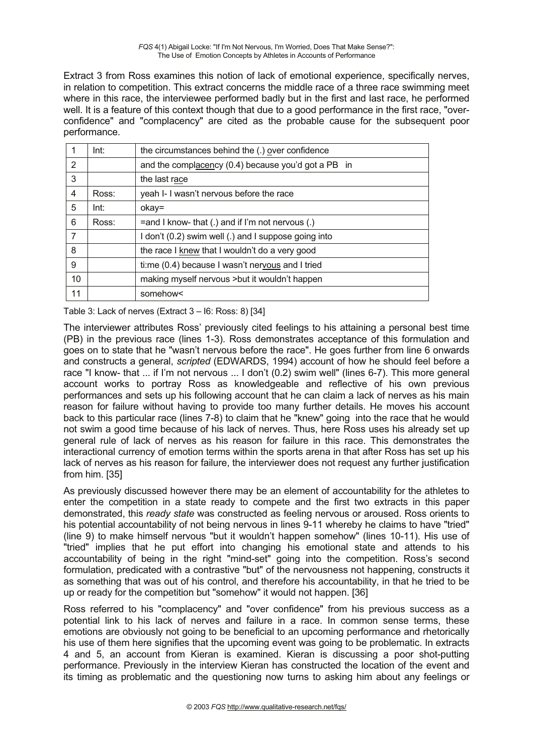Extract 3 from Ross examines this notion of lack of emotional experience, specifically nerves, in relation to competition. This extract concerns the middle race of a three race swimming meet where in this race, the interviewee performed badly but in the first and last race, he performed well. It is a feature of this context though that due to a good performance in the first race, "overconfidence" and "complacency" are cited as the probable cause for the subsequent poor performance.

|    | Int:  | the circumstances behind the (.) over confidence     |
|----|-------|------------------------------------------------------|
| 2  |       | and the complacency (0.4) because you'd got a PB in  |
| 3  |       | the last race                                        |
| 4  | Ross: | yeah I- I wasn't nervous before the race             |
| 5  | Int:  | okay=                                                |
| 6  | Ross: | $=$ and I know- that (.) and if I'm not nervous (.)  |
| 7  |       | I don't (0.2) swim well (.) and I suppose going into |
| 8  |       | the race I knew that I wouldn't do a very good       |
| 9  |       | ti:me (0.4) because I wasn't nervous and I tried     |
| 10 |       | making myself nervous > but it wouldn't happen       |
| 11 |       | somehow<                                             |

Table 3: Lack of nerves (Extract 3 – I6: Ross: 8) [34]

The interviewer attributes Ross' previously cited feelings to his attaining a personal best time (PB) in the previous race (lines 1-3). Ross demonstrates acceptance of this formulation and goes on to state that he "wasn't nervous before the race". He goes further from line 6 onwards and constructs a general, *scripted* (EDWARDS, 1994) account of how he should feel before a race "I know- that ... if I'm not nervous ... I don't (0.2) swim well" (lines 6-7). This more general account works to portray Ross as knowledgeable and reflective of his own previous performances and sets up his following account that he can claim a lack of nerves as his main reason for failure without having to provide too many further details. He moves his account back to this particular race (lines 7-8) to claim that he "knew" going into the race that he would not swim a good time because of his lack of nerves. Thus, here Ross uses his already set up general rule of lack of nerves as his reason for failure in this race. This demonstrates the interactional currency of emotion terms within the sports arena in that after Ross has set up his lack of nerves as his reason for failure, the interviewer does not request any further justification from him. [35]

As previously discussed however there may be an element of accountability for the athletes to enter the competition in a state ready to compete and the first two extracts in this paper demonstrated, this *ready state* was constructed as feeling nervous or aroused. Ross orients to his potential accountability of not being nervous in lines 9-11 whereby he claims to have "tried" (line 9) to make himself nervous "but it wouldn't happen somehow" (lines 10-11). His use of "tried" implies that he put effort into changing his emotional state and attends to his accountability of being in the right "mind-set" going into the competition. Ross's second formulation, predicated with a contrastive "but" of the nervousness not happening, constructs it as something that was out of his control, and therefore his accountability, in that he tried to be up or ready for the competition but "somehow" it would not happen. [36]

Ross referred to his "complacency" and "over confidence" from his previous success as a potential link to his lack of nerves and failure in a race. In common sense terms, these emotions are obviously not going to be beneficial to an upcoming performance and rhetorically his use of them here signifies that the upcoming event was going to be problematic. In extracts 4 and 5, an account from Kieran is examined. Kieran is discussing a poor shot-putting performance. Previously in the interview Kieran has constructed the location of the event and its timing as problematic and the questioning now turns to asking him about any feelings or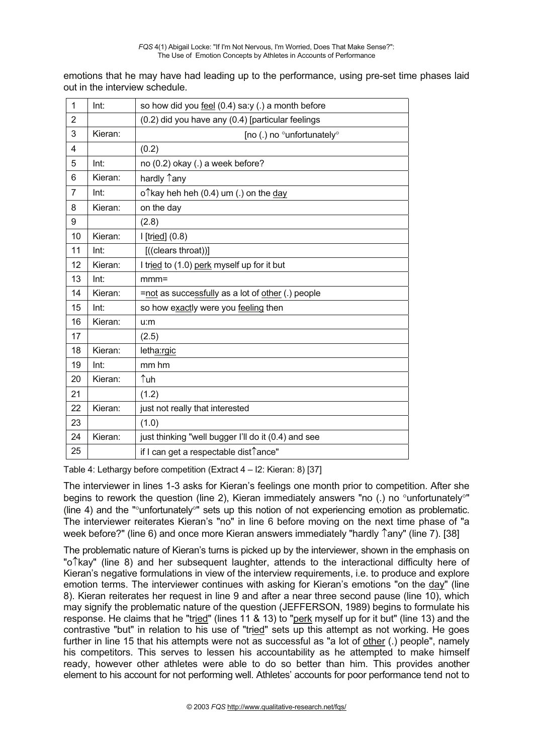emotions that he may have had leading up to the performance, using pre-set time phases laid out in the interview schedule.

| $\mathbf{1}$   | Int:    | so how did you feel (0.4) sa:y (.) a month before                      |
|----------------|---------|------------------------------------------------------------------------|
| $\overline{2}$ |         | (0.2) did you have any (0.4) [particular feelings                      |
| 3              | Kieran: | [no (.) no °unfortunately°                                             |
| 4              |         | (0.2)                                                                  |
| 5              | Int:    | no (0.2) okay (.) a week before?                                       |
| 6              | Kieran: | hardly 1any                                                            |
| 7              | Int:    | o <sup><math>\uparrow</math></sup> kay heh heh (0.4) um (.) on the day |
| 8              | Kieran: | on the day                                                             |
| 9              |         | (2.8)                                                                  |
| 10             | Kieran: | $I[tried]$ $(0.8)$                                                     |
| 11             | Int:    | [((clears throat))]                                                    |
| 12             | Kieran: | I tried to (1.0) perk myself up for it but                             |
| 13             | Int:    | $mmm =$                                                                |
| 14             | Kieran: | =not as successfully as a lot of other (.) people                      |
| 15             | Int:    | so how exactly were you feeling then                                   |
| 16             | Kieran: | u:m                                                                    |
| 17             |         | (2.5)                                                                  |
| 18             | Kieran: | letha:rgic                                                             |
| 19             | Int:    | mm hm                                                                  |
| 20             | Kieran: | ↑uh                                                                    |
| 21             |         | (1.2)                                                                  |
| 22             | Kieran: | just not really that interested                                        |
| 23             |         | (1.0)                                                                  |
| 24             | Kieran: | just thinking "well bugger I'll do it (0.4) and see                    |
| 25             |         | if I can get a respectable dist↑ance"                                  |

Table 4: Lethargy before competition (Extract 4 – I2: Kieran: 8) [37]

The interviewer in lines 1-3 asks for Kieran's feelings one month prior to competition. After she begins to rework the question (line 2), Kieran immediately answers "no (.) no  $\degree$ unfortunately $\degree$ " (line 4) and the " $\degree$ unfortunately $\degree$ " sets up this notion of not experiencing emotion as problematic. The interviewer reiterates Kieran's "no" in line 6 before moving on the next time phase of "a week before?" (line 6) and once more Kieran answers immediately "hardly  $\hat{}$  any" (line 7). [38]

The problematic nature of Kieran's turns is picked up by the interviewer, shown in the emphasis on "o"kay" (line 8) and her subsequent laughter, attends to the interactional difficulty here of Kieran's negative formulations in view of the interview requirements, i.e. to produce and explore emotion terms. The interviewer continues with asking for Kieran's emotions "on the day" (line 8). Kieran reiterates her request in line 9 and after a near three second pause (line 10), which may signify the problematic nature of the question (JEFFERSON, 1989) begins to formulate his response. He claims that he "tried" (lines 11 & 13) to "perk myself up for it but" (line 13) and the contrastive "but" in relation to his use of "tried" sets up this attempt as not working. He goes further in line 15 that his attempts were not as successful as "a lot of other (.) people", namely his competitors. This serves to lessen his accountability as he attempted to make himself ready, however other athletes were able to do so better than him. This provides another element to his account for not performing well. Athletes' accounts for poor performance tend not to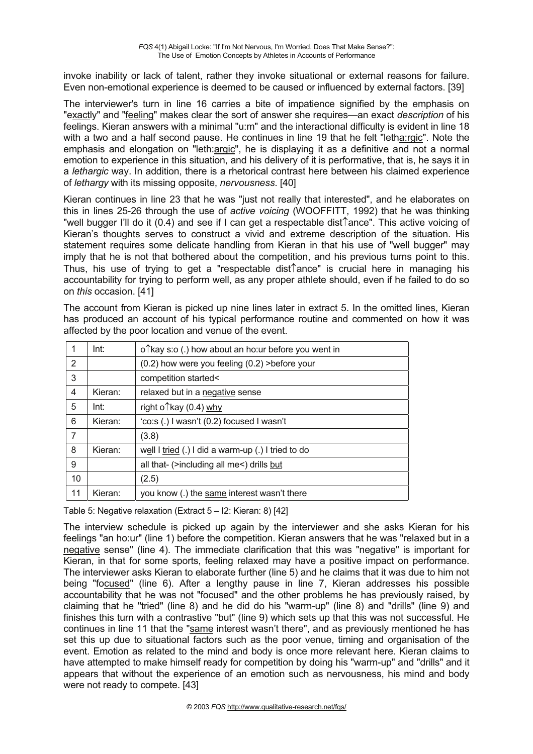invoke inability or lack of talent, rather they invoke situational or external reasons for failure. Even non-emotional experience is deemed to be caused or influenced by external factors. [39]

The interviewer's turn in line 16 carries a bite of impatience signified by the emphasis on "exactly" and "feeling" makes clear the sort of answer she requires—an exact *description* of his feelings. Kieran answers with a minimal "u:m" and the interactional difficulty is evident in line 18 with a two and a half second pause. He continues in line 19 that he felt "letha:rgic". Note the emphasis and elongation on "leth:argic", he is displaying it as a definitive and not a normal emotion to experience in this situation, and his delivery of it is performative, that is, he says it in a *lethargic* way. In addition, there is a rhetorical contrast here between his claimed experience of *lethargy* with its missing opposite, *nervousness*. [40]

Kieran continues in line 23 that he was "just not really that interested", and he elaborates on this in lines 25-26 through the use of *active voicing* (WOOFFITT, 1992) that he was thinking "well bugger I'll do it (0.4) and see if I can get a respectable dist<sup> $\hat{\ }$ </sup>ance". This active voicing of Kieran's thoughts serves to construct a vivid and extreme description of the situation. His statement requires some delicate handling from Kieran in that his use of "well bugger" may imply that he is not that bothered about the competition, and his previous turns point to this. Thus, his use of trying to get a "respectable dist  $\hat{}$  ance" is crucial here in managing his accountability for trying to perform well, as any proper athlete should, even if he failed to do so on *this* occasion. [41]

The account from Kieran is picked up nine lines later in extract 5. In the omitted lines, Kieran has produced an account of his typical performance routine and commented on how it was affected by the poor location and venue of the event.

|    | Int:    | o <sup><math>\hat{ }</math></sup> kay s:o (.) how about an ho:ur before you went in |
|----|---------|-------------------------------------------------------------------------------------|
| 2  |         | (0.2) how were you feeling (0.2) > before your                                      |
| 3  |         | competition started<                                                                |
| 4  | Kieran: | relaxed but in a negative sense                                                     |
| 5  | Int:    | right o1 <sup>kay</sup> (0.4) why                                                   |
| 6  | Kieran: | 'co:s (.) I wasn't (0.2) focused I wasn't                                           |
| 7  |         | (3.8)                                                                               |
| 8  | Kieran: | well I tried (.) I did a warm-up (.) I tried to do                                  |
| 9  |         | all that- (>including all me<) drills but                                           |
| 10 |         | (2.5)                                                                               |
| 11 | Kieran: | you know (.) the same interest wasn't there                                         |

Table 5: Negative relaxation (Extract 5 – I2: Kieran: 8) [42]

The interview schedule is picked up again by the interviewer and she asks Kieran for his feelings "an ho:ur" (line 1) before the competition. Kieran answers that he was "relaxed but in a negative sense" (line 4). The immediate clarification that this was "negative" is important for Kieran, in that for some sports, feeling relaxed may have a positive impact on performance. The interviewer asks Kieran to elaborate further (line 5) and he claims that it was due to him not being "focused" (line 6). After a lengthy pause in line 7, Kieran addresses his possible accountability that he was not "focused" and the other problems he has previously raised, by claiming that he "tried" (line 8) and he did do his "warm-up" (line 8) and "drills" (line 9) and finishes this turn with a contrastive "but" (line 9) which sets up that this was not successful. He continues in line 11 that the "same interest wasn't there", and as previously mentioned he has set this up due to situational factors such as the poor venue, timing and organisation of the event. Emotion as related to the mind and body is once more relevant here. Kieran claims to have attempted to make himself ready for competition by doing his "warm-up" and "drills" and it appears that without the experience of an emotion such as nervousness, his mind and body were not ready to compete. [43]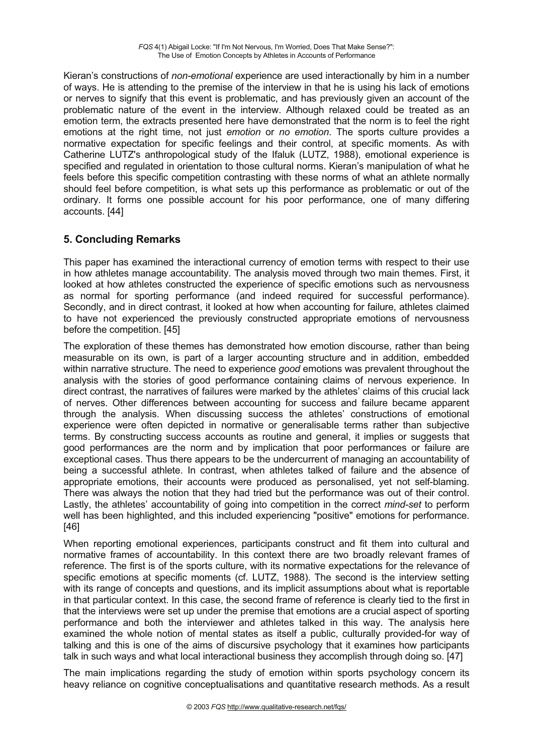Kieran's constructions of *non-emotional* experience are used interactionally by him in a number of ways. He is attending to the premise of the interview in that he is using his lack of emotions or nerves to signify that this event is problematic, and has previously given an account of the problematic nature of the event in the interview. Although relaxed could be treated as an emotion term, the extracts presented here have demonstrated that the norm is to feel the right emotions at the right time, not just *emotion* or *no emotion*. The sports culture provides a normative expectation for specific feelings and their control, at specific moments. As with Catherine LUTZ's anthropological study of the Ifaluk (LUTZ, 1988), emotional experience is specified and regulated in orientation to those cultural norms. Kieran's manipulation of what he feels before this specific competition contrasting with these norms of what an athlete normally should feel before competition, is what sets up this performance as problematic or out of the ordinary. It forms one possible account for his poor performance, one of many differing accounts. [44]

## **5. Concluding Remarks**

This paper has examined the interactional currency of emotion terms with respect to their use in how athletes manage accountability. The analysis moved through two main themes. First, it looked at how athletes constructed the experience of specific emotions such as nervousness as normal for sporting performance (and indeed required for successful performance). Secondly, and in direct contrast, it looked at how when accounting for failure, athletes claimed to have not experienced the previously constructed appropriate emotions of nervousness before the competition. [45]

The exploration of these themes has demonstrated how emotion discourse, rather than being measurable on its own, is part of a larger accounting structure and in addition, embedded within narrative structure. The need to experience *good* emotions was prevalent throughout the analysis with the stories of good performance containing claims of nervous experience. In direct contrast, the narratives of failures were marked by the athletes' claims of this crucial lack of nerves. Other differences between accounting for success and failure became apparent through the analysis. When discussing success the athletes' constructions of emotional experience were often depicted in normative or generalisable terms rather than subjective terms. By constructing success accounts as routine and general, it implies or suggests that good performances are the norm and by implication that poor performances or failure are exceptional cases. Thus there appears to be the undercurrent of managing an accountability of being a successful athlete. In contrast, when athletes talked of failure and the absence of appropriate emotions, their accounts were produced as personalised, yet not self-blaming. There was always the notion that they had tried but the performance was out of their control. Lastly, the athletes' accountability of going into competition in the correct *mind-set* to perform well has been highlighted, and this included experiencing "positive" emotions for performance. [46]

When reporting emotional experiences, participants construct and fit them into cultural and normative frames of accountability. In this context there are two broadly relevant frames of reference. The first is of the sports culture, with its normative expectations for the relevance of specific emotions at specific moments (cf. LUTZ, 1988). The second is the interview setting with its range of concepts and questions, and its implicit assumptions about what is reportable in that particular context. In this case, the second frame of reference is clearly tied to the first in that the interviews were set up under the premise that emotions are a crucial aspect of sporting performance and both the interviewer and athletes talked in this way. The analysis here examined the whole notion of mental states as itself a public, culturally provided-for way of talking and this is one of the aims of discursive psychology that it examines how participants talk in such ways and what local interactional business they accomplish through doing so. [47]

The main implications regarding the study of emotion within sports psychology concern its heavy reliance on cognitive conceptualisations and quantitative research methods. As a result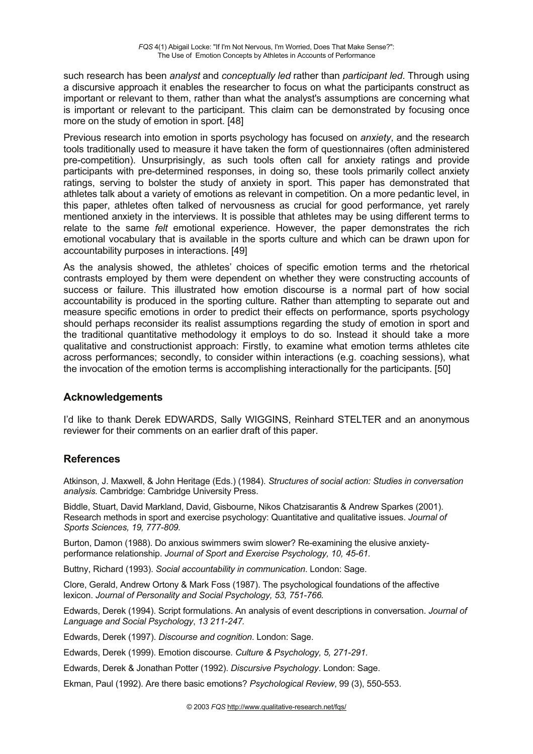such research has been *analyst* and *conceptually led* rather than *participant led*. Through using a discursive approach it enables the researcher to focus on what the participants construct as important or relevant to them, rather than what the analyst's assumptions are concerning what is important or relevant to the participant. This claim can be demonstrated by focusing once more on the study of emotion in sport. [48]

Previous research into emotion in sports psychology has focused on *anxiety*, and the research tools traditionally used to measure it have taken the form of questionnaires (often administered pre-competition). Unsurprisingly, as such tools often call for anxiety ratings and provide participants with pre-determined responses, in doing so, these tools primarily collect anxiety ratings, serving to bolster the study of anxiety in sport. This paper has demonstrated that athletes talk about a variety of emotions as relevant in competition. On a more pedantic level, in this paper, athletes often talked of nervousness as crucial for good performance, yet rarely mentioned anxiety in the interviews. It is possible that athletes may be using different terms to relate to the same *felt* emotional experience. However, the paper demonstrates the rich emotional vocabulary that is available in the sports culture and which can be drawn upon for accountability purposes in interactions. [49]

As the analysis showed, the athletes' choices of specific emotion terms and the rhetorical contrasts employed by them were dependent on whether they were constructing accounts of success or failure. This illustrated how emotion discourse is a normal part of how social accountability is produced in the sporting culture. Rather than attempting to separate out and measure specific emotions in order to predict their effects on performance, sports psychology should perhaps reconsider its realist assumptions regarding the study of emotion in sport and the traditional quantitative methodology it employs to do so. Instead it should take a more qualitative and constructionist approach: Firstly, to examine what emotion terms athletes cite across performances; secondly, to consider within interactions (e.g. coaching sessions), what the invocation of the emotion terms is accomplishing interactionally for the participants. [50]

## **Acknowledgements**

I'd like to thank Derek EDWARDS, Sally WIGGINS, Reinhard STELTER and an anonymous reviewer for their comments on an earlier draft of this paper.

## **References**

Atkinson, J. Maxwell, & John Heritage (Eds.) (1984). *Structures of social action: Studies in conversation analysis.* Cambridge: Cambridge University Press.

Biddle, Stuart, David Markland, David, Gisbourne, Nikos Chatzisarantis & Andrew Sparkes (2001). Research methods in sport and exercise psychology: Quantitative and qualitative issues. *Journal of Sports Sciences, 19, 777-809.* 

Burton, Damon (1988). Do anxious swimmers swim slower? Re-examining the elusive anxietyperformance relationship. *Journal of Sport and Exercise Psychology, 10, 45-61.* 

Buttny, Richard (1993). *Social accountability in communication*. London: Sage.

Clore, Gerald, Andrew Ortony & Mark Foss (1987). The psychological foundations of the affective lexicon. *Journal of Personality and Social Psychology, 53, 751-766.* 

Edwards, Derek (1994). Script formulations. An analysis of event descriptions in conversation. *Journal of Language and Social Psychology*, *13 211-247.* 

Edwards, Derek (1997). *Discourse and cognition*. London: Sage.

Edwards, Derek (1999). Emotion discourse. *Culture & Psychology, 5, 271-291.* 

Edwards, Derek & Jonathan Potter (1992). *Discursive Psychology*. London: Sage.

Ekman, Paul (1992). Are there basic emotions? *Psychological Review*, 99 (3), 550-553.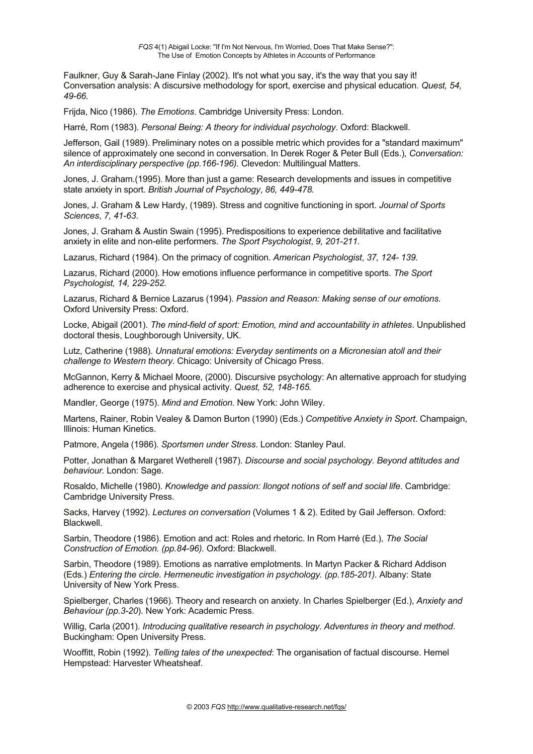Faulkner, Guy & Sarah-Jane Finlay (2002). It's not what you say, it's the way that you say it! Conversation analysis: A discursive methodology for sport, exercise and physical education. *Quest, 54, 49-66.* 

Frijda, Nico (1986). *The Emotions*. Cambridge University Press: London.

Harré, Rom (1983). *Personal Being: A theory for individual psychology*. Oxford: Blackwell.

Jefferson, Gail (1989). Preliminary notes on a possible metric which provides for a "standard maximum" silence of approximately one second in conversation. In Derek Roger & Peter Bull (Eds.), *Conversation: An interdisciplinary perspective (pp.166-196).* Clevedon: Multilingual Matters.

Jones, J. Graham.(1995). More than just a game: Research developments and issues in competitive state anxiety in sport. *British Journal of Psychology*, *86, 449-478.* 

Jones, J. Graham & Lew Hardy, (1989). Stress and cognitive functioning in sport. *Journal of Sports Sciences*, *7, 41-63*.

Jones, J. Graham & Austin Swain (1995). Predispositions to experience debilitative and facilitative anxiety in elite and non-elite performers. *The Sport Psychologist*, *9, 201-211.*

Lazarus, Richard (1984). On the primacy of cognition. *American Psychologist*, *37, 124- 139.* 

Lazarus, Richard (2000). How emotions influence performance in competitive sports. *The Sport Psychologist, 14, 229-252.* 

Lazarus, Richard & Bernice Lazarus (1994). *Passion and Reason: Making sense of our emotions.* Oxford University Press: Oxford.

Locke, Abigail (2001). *The mind-field of sport: Emotion, mind and accountability in athletes*. Unpublished doctoral thesis, Loughborough University, UK.

Lutz, Catherine (1988). *Unnatural emotions: Everyday sentiments on a Micronesian atoll and their challenge to Western theory.* Chicago: University of Chicago Press.

McGannon, Kerry & Michael Moore, (2000). Discursive psychology: An alternative approach for studying adherence to exercise and physical activity. *Quest, 52, 148-165.* 

Mandler, George (1975). *Mind and Emotion*. New York: John Wiley.

Martens, Rainer, Robin Vealey & Damon Burton (1990) (Eds.) *Competitive Anxiety in Sport*. Champaign, Illinois: Human Kinetics.

Patmore, Angela (1986). *Sportsmen under Stress*. London: Stanley Paul.

Potter, Jonathan & Margaret Wetherell (1987). *Discourse and social psychology. Beyond attitudes and behaviour.* London: Sage.

Rosaldo, Michelle (1980). *Knowledge and passion: Ilongot notions of self and social life*. Cambridge: Cambridge University Press.

Sacks, Harvey (1992). *Lectures on conversation* (Volumes 1 & 2). Edited by Gail Jefferson. Oxford: Blackwell.

Sarbin, Theodore (1986). Emotion and act: Roles and rhetoric. In Rom Harré (Ed.), *The Social Construction of Emotion. (pp.84-96).* Oxford: Blackwell.

Sarbin, Theodore (1989). Emotions as narrative emplotments. In Martyn Packer & Richard Addison (Eds.) *Entering the circle. Hermeneutic investigation in psychology. (pp.185-201).* Albany: State University of New York Press.

Spielberger, Charles (1966). Theory and research on anxiety. In Charles Spielberger (Ed.), *Anxiety and Behaviour (pp.3-20*). New York: Academic Press.

Willig, Carla (2001). *Introducing qualitative research in psychology. Adventures in theory and method*. Buckingham: Open University Press.

Wooffitt, Robin (1992). *Telling tales of the unexpected*: The organisation of factual discourse. Hemel Hempstead: Harvester Wheatsheaf.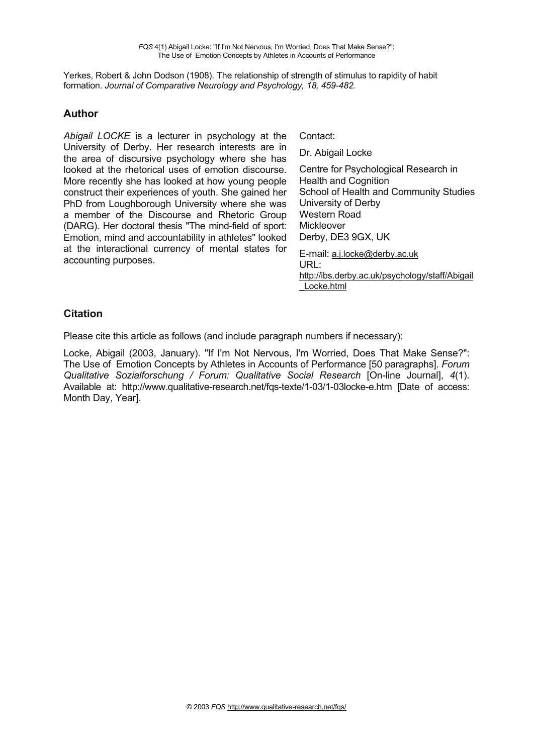Yerkes, Robert & John Dodson (1908). The relationship of strength of stimulus to rapidity of habit formation. *Journal of Comparative Neurology and Psychology, 18, 459-482.* 

#### **Author**

*Abigail LOCKE* is a lecturer in psychology at the University of Derby. Her research interests are in the area of discursive psychology where she has looked at the rhetorical uses of emotion discourse. More recently she has looked at how young people construct their experiences of youth. She gained her PhD from Loughborough University where she was a member of the Discourse and Rhetoric Group (DARG). Her doctoral thesis "The mind-field of sport: Emotion, mind and accountability in athletes" looked at the interactional currency of mental states for accounting purposes.

Contact:

Dr. Abigail Locke

Centre for Psychological Research in Health and Cognition School of Health and Community Studies University of Derby Western Road Mickleover Derby, DE3 9GX, UK E-mail: a.j.locke@derby.ac.uk

URL: http://ibs.derby.ac.uk/psychology/staff/Abigail \_Locke.html

## **Citation**

Please cite this article as follows (and include paragraph numbers if necessary):

Locke, Abigail (2003, January). "If I'm Not Nervous, I'm Worried, Does That Make Sense?": The Use of Emotion Concepts by Athletes in Accounts of Performance [50 paragraphs]. *Forum Qualitative Sozialforschung / Forum: Qualitative Social Research* [On-line Journal], *4*(1). Available at: http://www.qualitative-research.net/fqs-texte/1-03/1-03locke-e.htm [Date of access: Month Day, Year].